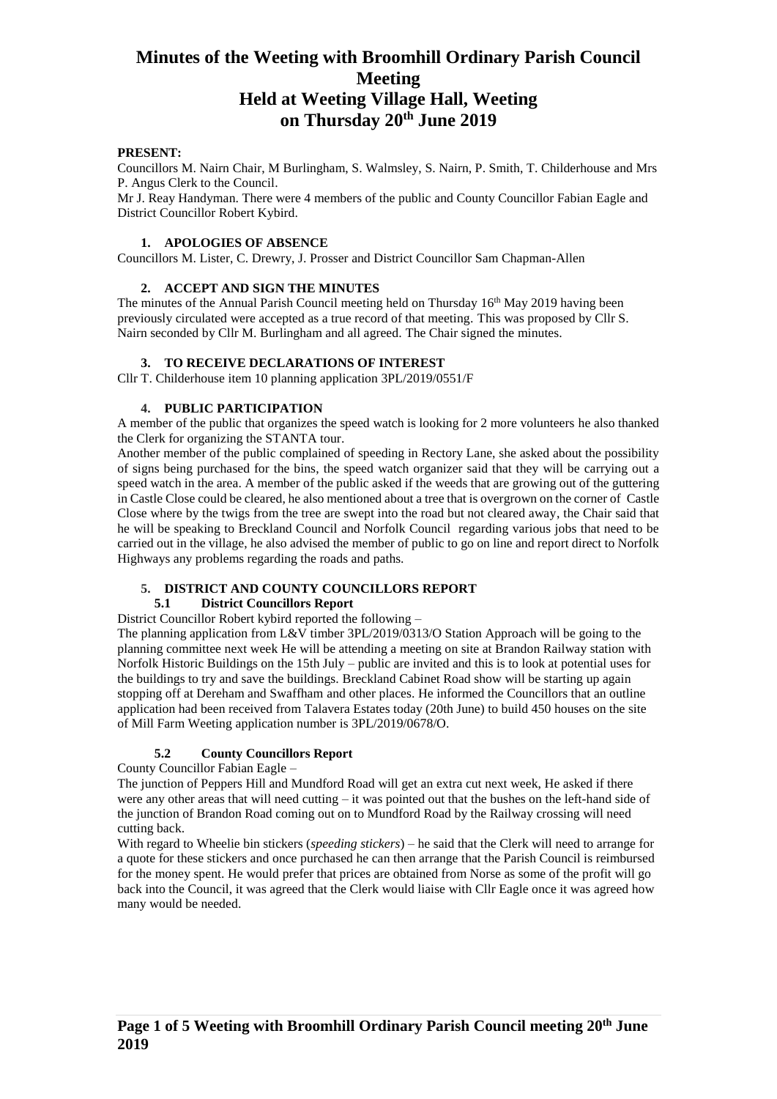#### **PRESENT:**

Councillors M. Nairn Chair, M Burlingham, S. Walmsley, S. Nairn, P. Smith, T. Childerhouse and Mrs P. Angus Clerk to the Council.

Mr J. Reay Handyman. There were 4 members of the public and County Councillor Fabian Eagle and District Councillor Robert Kybird.

#### **1. APOLOGIES OF ABSENCE**

Councillors M. Lister, C. Drewry, J. Prosser and District Councillor Sam Chapman-Allen

#### **2. ACCEPT AND SIGN THE MINUTES**

The minutes of the Annual Parish Council meeting held on Thursday  $16<sup>th</sup>$  May 2019 having been previously circulated were accepted as a true record of that meeting. This was proposed by Cllr S. Nairn seconded by Cllr M. Burlingham and all agreed. The Chair signed the minutes.

## **3. TO RECEIVE DECLARATIONS OF INTEREST**

Cllr T. Childerhouse item 10 planning application 3PL/2019/0551/F

## **4. PUBLIC PARTICIPATION**

A member of the public that organizes the speed watch is looking for 2 more volunteers he also thanked the Clerk for organizing the STANTA tour.

Another member of the public complained of speeding in Rectory Lane, she asked about the possibility of signs being purchased for the bins, the speed watch organizer said that they will be carrying out a speed watch in the area. A member of the public asked if the weeds that are growing out of the guttering in Castle Close could be cleared, he also mentioned about a tree that is overgrown on the corner of Castle Close where by the twigs from the tree are swept into the road but not cleared away, the Chair said that he will be speaking to Breckland Council and Norfolk Council regarding various jobs that need to be carried out in the village, he also advised the member of public to go on line and report direct to Norfolk Highways any problems regarding the roads and paths.

#### **5. DISTRICT AND COUNTY COUNCILLORS REPORT**

#### **5.1 District Councillors Report**

District Councillor Robert kybird reported the following –

The planning application from L&V timber 3PL/2019/0313/O Station Approach will be going to the planning committee next week He will be attending a meeting on site at Brandon Railway station with Norfolk Historic Buildings on the 15th July – public are invited and this is to look at potential uses for the buildings to try and save the buildings. Breckland Cabinet Road show will be starting up again stopping off at Dereham and Swaffham and other places. He informed the Councillors that an outline application had been received from Talavera Estates today (20th June) to build 450 houses on the site of Mill Farm Weeting application number is 3PL/2019/0678/O.

#### **5.2 County Councillors Report**

County Councillor Fabian Eagle –

The junction of Peppers Hill and Mundford Road will get an extra cut next week, He asked if there were any other areas that will need cutting – it was pointed out that the bushes on the left-hand side of the junction of Brandon Road coming out on to Mundford Road by the Railway crossing will need cutting back.

With regard to Wheelie bin stickers (*speeding stickers*) – he said that the Clerk will need to arrange for a quote for these stickers and once purchased he can then arrange that the Parish Council is reimbursed for the money spent. He would prefer that prices are obtained from Norse as some of the profit will go back into the Council, it was agreed that the Clerk would liaise with Cllr Eagle once it was agreed how many would be needed.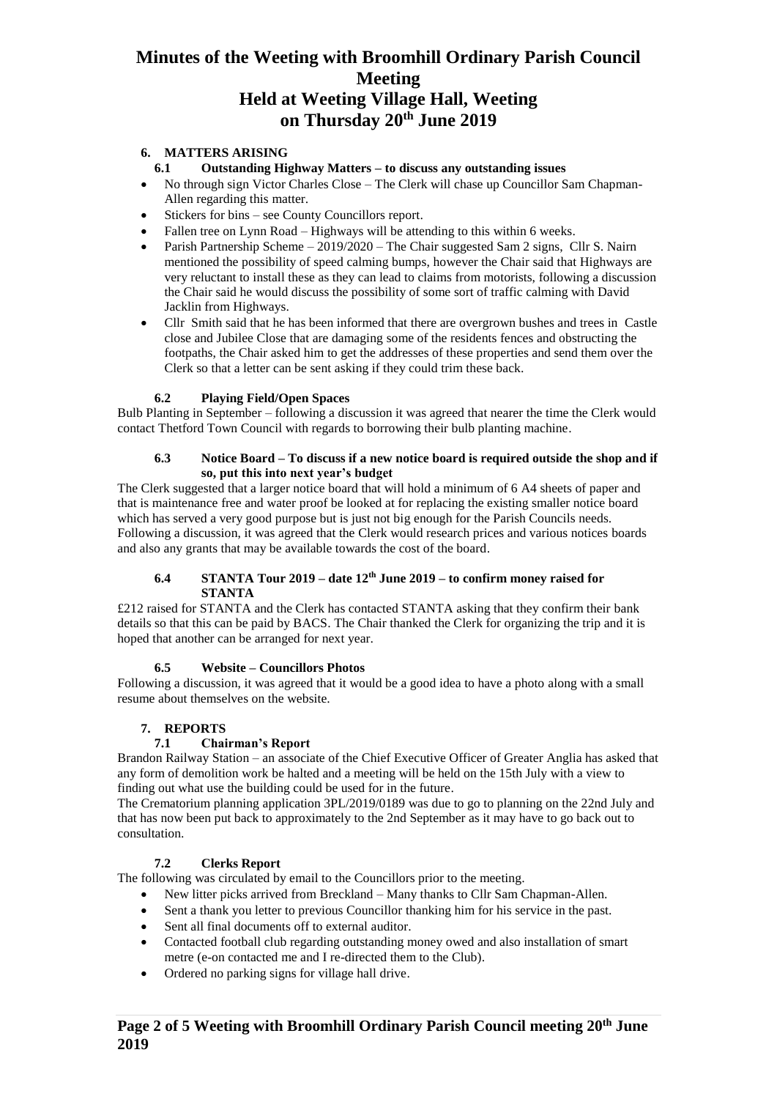# **6. MATTERS ARISING**

- **6.1 Outstanding Highway Matters – to discuss any outstanding issues**
- No through sign Victor Charles Close The Clerk will chase up Councillor Sam Chapman-Allen regarding this matter.
- Stickers for bins see County Councillors report.
- Fallen tree on Lynn Road Highways will be attending to this within 6 weeks.
- Parish Partnership Scheme 2019/2020 The Chair suggested Sam 2 signs, Cllr S. Nairn mentioned the possibility of speed calming bumps, however the Chair said that Highways are very reluctant to install these as they can lead to claims from motorists, following a discussion the Chair said he would discuss the possibility of some sort of traffic calming with David Jacklin from Highways.
- Cllr Smith said that he has been informed that there are overgrown bushes and trees in Castle close and Jubilee Close that are damaging some of the residents fences and obstructing the footpaths, the Chair asked him to get the addresses of these properties and send them over the Clerk so that a letter can be sent asking if they could trim these back.

# **6.2 Playing Field/Open Spaces**

Bulb Planting in September – following a discussion it was agreed that nearer the time the Clerk would contact Thetford Town Council with regards to borrowing their bulb planting machine.

#### **6.3 Notice Board – To discuss if a new notice board is required outside the shop and if so, put this into next year's budget**

The Clerk suggested that a larger notice board that will hold a minimum of 6 A4 sheets of paper and that is maintenance free and water proof be looked at for replacing the existing smaller notice board which has served a very good purpose but is just not big enough for the Parish Councils needs. Following a discussion, it was agreed that the Clerk would research prices and various notices boards and also any grants that may be available towards the cost of the board.

### **6.4 STANTA Tour 2019 – date 12th June 2019 – to confirm money raised for STANTA**

£212 raised for STANTA and the Clerk has contacted STANTA asking that they confirm their bank details so that this can be paid by BACS. The Chair thanked the Clerk for organizing the trip and it is hoped that another can be arranged for next year.

#### **6.5 Website – Councillors Photos**

Following a discussion, it was agreed that it would be a good idea to have a photo along with a small resume about themselves on the website.

# **7. REPORTS**

# **7.1 Chairman's Report**

Brandon Railway Station – an associate of the Chief Executive Officer of Greater Anglia has asked that any form of demolition work be halted and a meeting will be held on the 15th July with a view to finding out what use the building could be used for in the future.

The Crematorium planning application 3PL/2019/0189 was due to go to planning on the 22nd July and that has now been put back to approximately to the 2nd September as it may have to go back out to consultation.

# **7.2 Clerks Report**

The following was circulated by email to the Councillors prior to the meeting.

- New litter picks arrived from Breckland Many thanks to Cllr Sam Chapman-Allen.
- Sent a thank you letter to previous Councillor thanking him for his service in the past.
- Sent all final documents off to external auditor.
- Contacted football club regarding outstanding money owed and also installation of smart metre (e-on contacted me and I re-directed them to the Club).
- Ordered no parking signs for village hall drive.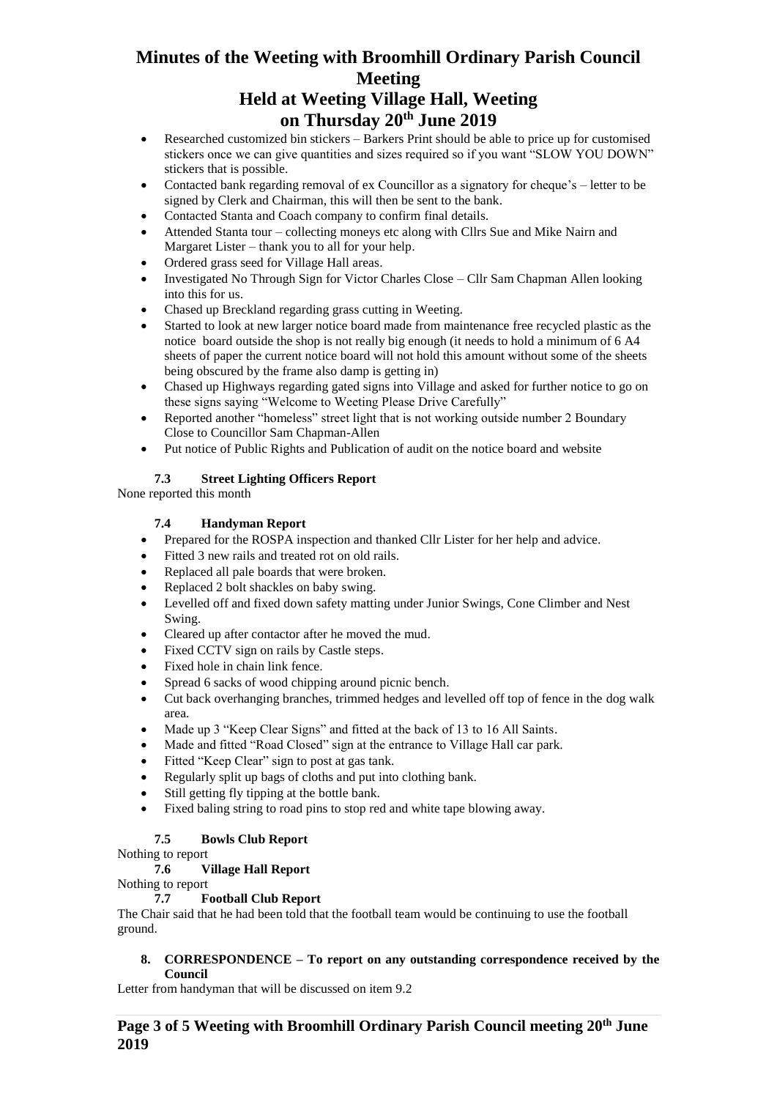# **Minutes of the Weeting with Broomhill Ordinary Parish Council Meeting**

# **Held at Weeting Village Hall, Weeting on Thursday 20th June 2019**

- Researched customized bin stickers Barkers Print should be able to price up for customised stickers once we can give quantities and sizes required so if you want "SLOW YOU DOWN" stickers that is possible.
- Contacted bank regarding removal of ex Councillor as a signatory for cheque's letter to be signed by Clerk and Chairman, this will then be sent to the bank.
- Contacted Stanta and Coach company to confirm final details.
- Attended Stanta tour collecting moneys etc along with Cllrs Sue and Mike Nairn and Margaret Lister – thank you to all for your help.
- Ordered grass seed for Village Hall areas.
- Investigated No Through Sign for Victor Charles Close Cllr Sam Chapman Allen looking into this for us.
- Chased up Breckland regarding grass cutting in Weeting.
- Started to look at new larger notice board made from maintenance free recycled plastic as the notice board outside the shop is not really big enough (it needs to hold a minimum of 6 A4 sheets of paper the current notice board will not hold this amount without some of the sheets being obscured by the frame also damp is getting in)
- Chased up Highways regarding gated signs into Village and asked for further notice to go on these signs saying "Welcome to Weeting Please Drive Carefully"
- Reported another "homeless" street light that is not working outside number 2 Boundary Close to Councillor Sam Chapman-Allen
- Put notice of Public Rights and Publication of audit on the notice board and website

# **7.3 Street Lighting Officers Report**

None reported this month

# **7.4 Handyman Report**

- Prepared for the ROSPA inspection and thanked Cllr Lister for her help and advice.
- Fitted 3 new rails and treated rot on old rails.
- Replaced all pale boards that were broken.
- Replaced 2 bolt shackles on baby swing.
- Levelled off and fixed down safety matting under Junior Swings, Cone Climber and Nest Swing.
- Cleared up after contactor after he moved the mud.
- Fixed CCTV sign on rails by Castle steps.
- Fixed hole in chain link fence.
- Spread 6 sacks of wood chipping around picnic bench.
- Cut back overhanging branches, trimmed hedges and levelled off top of fence in the dog walk area.
- Made up 3 "Keep Clear Signs" and fitted at the back of 13 to 16 All Saints.
- Made and fitted "Road Closed" sign at the entrance to Village Hall car park.
- Fitted "Keep Clear" sign to post at gas tank.
- Regularly split up bags of cloths and put into clothing bank.
- Still getting fly tipping at the bottle bank.
- Fixed baling string to road pins to stop red and white tape blowing away.

# **7.5 Bowls Club Report**

Nothing to report

# **7.6 Village Hall Report**

Nothing to report

# **7.7 Football Club Report**

The Chair said that he had been told that the football team would be continuing to use the football ground.

#### **8. CORRESPONDENCE – To report on any outstanding correspondence received by the Council**

Letter from handyman that will be discussed on item 9.2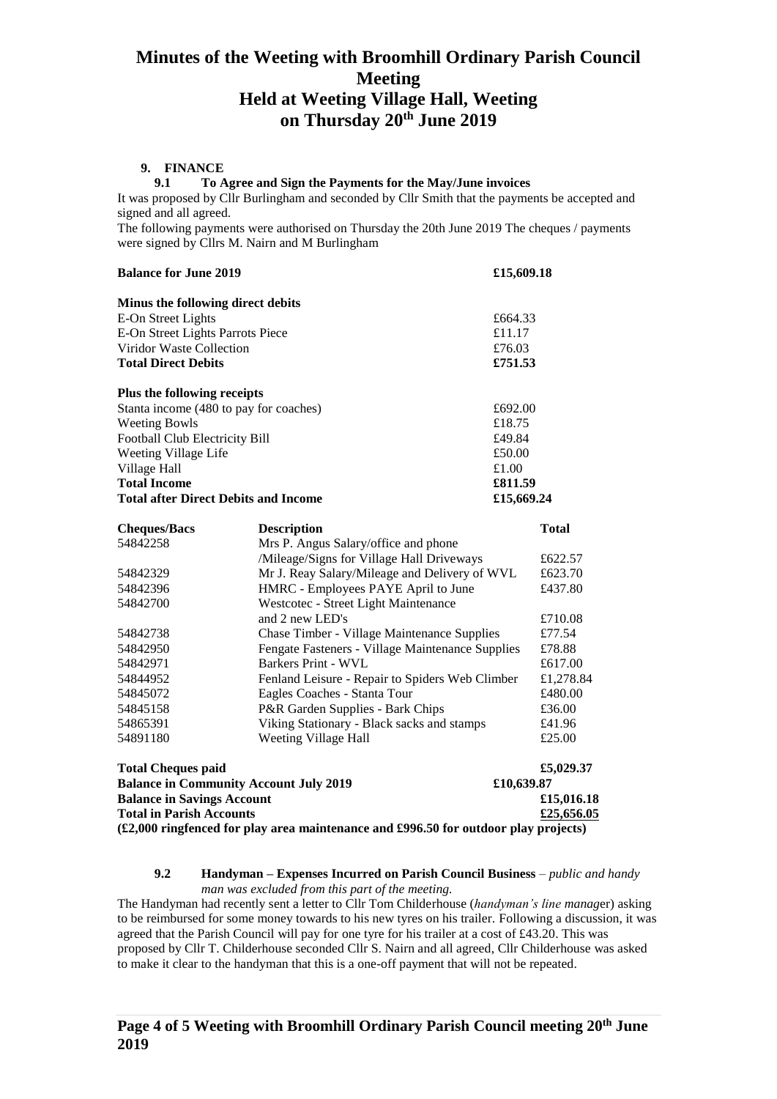#### **9. FINANCE**

#### **9.1 To Agree and Sign the Payments for the May/June invoices**

It was proposed by Cllr Burlingham and seconded by Cllr Smith that the payments be accepted and signed and all agreed.

The following payments were authorised on Thursday the 20th June 2019 The cheques / payments were signed by Cllrs M. Nairn and M Burlingham

| <b>Balance for June 2019</b>                      | £15,609.18                                    |            |              |  |
|---------------------------------------------------|-----------------------------------------------|------------|--------------|--|
| Minus the following direct debits                 |                                               |            |              |  |
| E-On Street Lights                                |                                               | £664.33    |              |  |
| E-On Street Lights Parrots Piece                  | £11.17                                        |            |              |  |
| Viridor Waste Collection                          |                                               | £76.03     |              |  |
| <b>Total Direct Debits</b><br>£751.53             |                                               |            |              |  |
| Plus the following receipts                       |                                               |            |              |  |
| Stanta income (480 to pay for coaches)<br>£692.00 |                                               |            |              |  |
| <b>Weeting Bowls</b><br>£18.75                    |                                               |            |              |  |
| £49.84<br>Football Club Electricity Bill          |                                               |            |              |  |
| Weeting Village Life                              |                                               | £50.00     |              |  |
| Village Hall                                      |                                               | £1.00      |              |  |
| <b>Total Income</b>                               | £811.59                                       |            |              |  |
| <b>Total after Direct Debits and Income</b>       |                                               | £15,669.24 |              |  |
| <b>Cheques/Bacs</b>                               | <b>Description</b>                            |            | <b>Total</b> |  |
| 54842258                                          | Mrs P. Angus Salary/office and phone          |            |              |  |
|                                                   | /Mileage/Signs for Village Hall Driveways     |            | £622.57      |  |
| 54842329                                          | Mr J. Reay Salary/Mileage and Delivery of WVL |            | £623.70      |  |
| HMRC - Employees PAYE April to June<br>54842396   |                                               |            | £437.80      |  |
| 54842700                                          | Westcotec - Street Light Maintenance          |            |              |  |
|                                                   |                                               |            |              |  |

| <b>Total Cheques paid</b> |                                                    | £5,029.37 |
|---------------------------|----------------------------------------------------|-----------|
| 54891180                  | Weeting Village Hall                               | £25.00    |
| 54865391                  | Viking Stationary - Black sacks and stamps         | £41.96    |
| 54845158                  | P&R Garden Supplies - Bark Chips                   | £36.00    |
| 54845072                  | Eagles Coaches - Stanta Tour                       | £480.00   |
| 54844952                  | Fenland Leisure - Repair to Spiders Web Climber    | £1,278.84 |
| 54842971                  | Barkers Print - WVL                                | £617.00   |
| 54842950                  | Fengate Fasteners - Village Maintenance Supplies   | £78.88    |
| 54842738                  | <b>Chase Timber - Village Maintenance Supplies</b> | £77.54    |
|                           | and 2 new LED's                                    | £710.08   |
| 54842700                  | Westcotec - Street Light Maintenance               |           |
|                           |                                                    |           |

**Balance in Community Account July 2019 £10,639.87 Balance in Savings Account £15,016.18 Total in Parish Accounts £25,656.05 (£2,000 ringfenced for play area maintenance and £996.50 for outdoor play projects)**

#### **9.2 Handyman – Expenses Incurred on Parish Council Business** – *public and handy man was excluded from this part of the meeting.*

The Handyman had recently sent a letter to Cllr Tom Childerhouse (*handyman's line manag*er) asking to be reimbursed for some money towards to his new tyres on his trailer. Following a discussion, it was agreed that the Parish Council will pay for one tyre for his trailer at a cost of £43.20. This was proposed by Cllr T. Childerhouse seconded Cllr S. Nairn and all agreed, Cllr Childerhouse was asked to make it clear to the handyman that this is a one-off payment that will not be repeated.